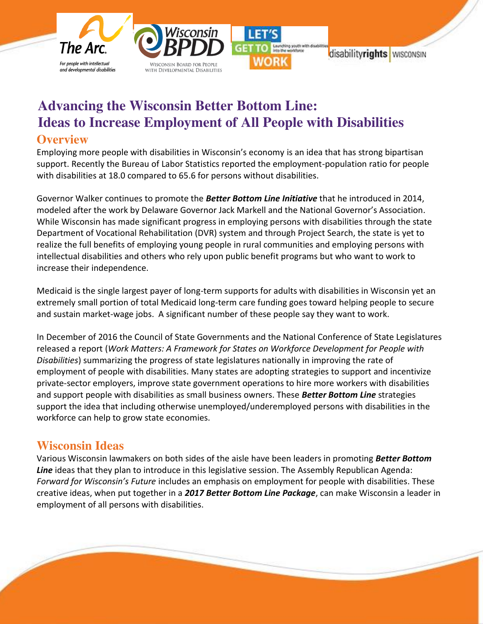

# **Advancing the Wisconsin Better Bottom Line: Ideas to Increase Employment of All People with Disabilities Overview**

Employing more people with disabilities in Wisconsin's economy is an idea that has strong bipartisan support. Recently the Bureau of Labor Statistics reported the employment-population ratio for people with disabilities at 18.0 compared to 65.6 for persons without disabilities.

Governor Walker continues to promote the *Better Bottom Line Initiative* that he introduced in 2014, modeled after the work by Delaware Governor Jack Markell and the National Governor's Association. While Wisconsin has made significant progress in employing persons with disabilities through the state Department of Vocational Rehabilitation (DVR) system and through Project Search, the state is yet to realize the full benefits of employing young people in rural communities and employing persons with intellectual disabilities and others who rely upon public benefit programs but who want to work to increase their independence.

Medicaid is the single largest payer of long-term supports for adults with disabilities in Wisconsin yet an extremely small portion of total Medicaid long-term care funding goes toward helping people to secure and sustain market-wage jobs. A significant number of these people say they want to work.

In December of 2016 the Council of State Governments and the National Conference of State Legislatures released a report (*Work Matters: A Framework for States on Workforce Development for People with Disabilities*) summarizing the progress of state legislatures nationally in improving the rate of employment of people with disabilities. Many states are adopting strategies to support and incentivize private-sector employers, improve state government operations to hire more workers with disabilities and support people with disabilities as small business owners. These *Better Bottom Line* strategies support the idea that including otherwise unemployed/underemployed persons with disabilities in the workforce can help to grow state economies.

# **Wisconsin Ideas**

**Lisa Pugh** 

ì

Various Wisconsin lawmakers on both sides of the aisle have been leaders in promoting *Better Bottom Line* ideas that they plan to introduce in this legislative session. The Assembly Republican Agenda: *Forward for Wisconsin's Future* includes an emphasis on employment for people with disabilities. These creative ideas, when put together in a *2017 Better Bottom Line Package*, can make Wisconsin a leader in employment of all persons with disabilities.